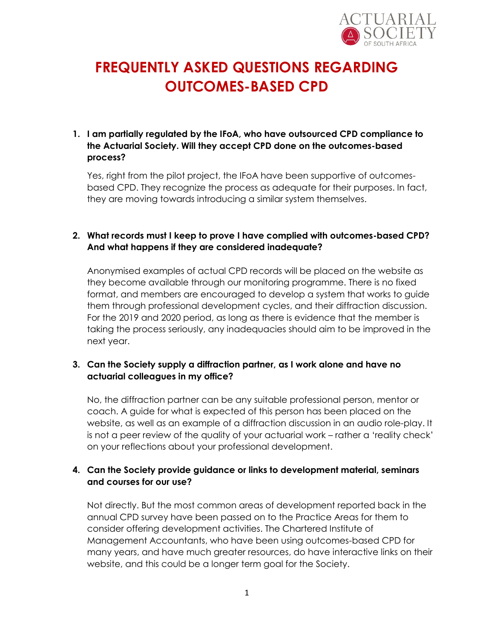

# **FREQUENTLY ASKED QUESTIONS REGARDING OUTCOMES-BASED CPD**

## **1. I am partially regulated by the IFoA, who have outsourced CPD compliance to the Actuarial Society. Will they accept CPD done on the outcomes-based process?**

Yes, right from the pilot project, the IFoA have been supportive of outcomesbased CPD. They recognize the process as adequate for their purposes. In fact, they are moving towards introducing a similar system themselves.

## **2. What records must I keep to prove I have complied with outcomes-based CPD? And what happens if they are considered inadequate?**

Anonymised examples of actual CPD records will be placed on the website as they become available through our monitoring programme. There is no fixed format, and members are encouraged to develop a system that works to guide them through professional development cycles, and their diffraction discussion. For the 2019 and 2020 period, as long as there is evidence that the member is taking the process seriously, any inadequacies should aim to be improved in the next year.

### **3. Can the Society supply a diffraction partner, as I work alone and have no actuarial colleagues in my office?**

No, the diffraction partner can be any suitable professional person, mentor or coach. A guide for what is expected of this person has been placed on the website, as well as an example of a diffraction discussion in an audio role-play. It is not a peer review of the quality of your actuarial work – rather a 'reality check' on your reflections about your professional development.

## **4. Can the Society provide guidance or links to development material, seminars and courses for our use?**

Not directly. But the most common areas of development reported back in the annual CPD survey have been passed on to the Practice Areas for them to consider offering development activities. The Chartered Institute of Management Accountants, who have been using outcomes-based CPD for many years, and have much greater resources, do have interactive links on their website, and this could be a longer term goal for the Society.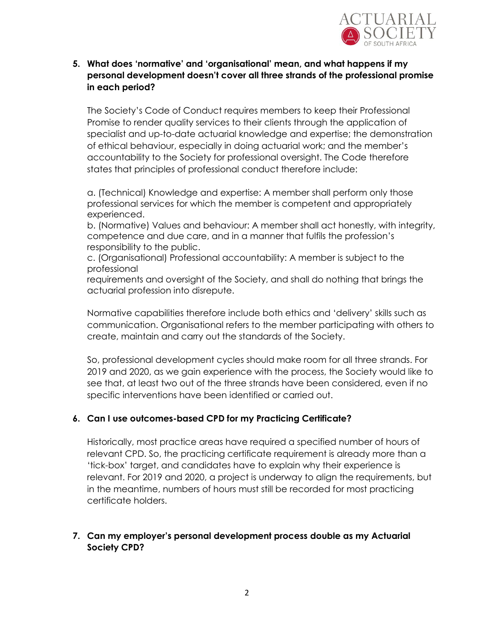

**5. What does 'normative' and 'organisational' mean, and what happens if my personal development doesn't cover all three strands of the professional promise in each period?**

The Society's Code of Conduct requires members to keep their Professional Promise to render quality services to their clients through the application of specialist and up-to-date actuarial knowledge and expertise; the demonstration of ethical behaviour, especially in doing actuarial work; and the member's accountability to the Society for professional oversight. The Code therefore states that principles of professional conduct therefore include:

a. (Technical) Knowledge and expertise: A member shall perform only those professional services for which the member is competent and appropriately experienced.

b. (Normative) Values and behaviour: A member shall act honestly, with integrity, competence and due care, and in a manner that fulfils the profession's responsibility to the public.

c. (Organisational) Professional accountability: A member is subject to the professional

requirements and oversight of the Society, and shall do nothing that brings the actuarial profession into disrepute.

Normative capabilities therefore include both ethics and 'delivery' skills such as communication. Organisational refers to the member participating with others to create, maintain and carry out the standards of the Society.

So, professional development cycles should make room for all three strands. For 2019 and 2020, as we gain experience with the process, the Society would like to see that, at least two out of the three strands have been considered, even if no specific interventions have been identified or carried out.

### **6. Can I use outcomes-based CPD for my Practicing Certificate?**

Historically, most practice areas have required a specified number of hours of relevant CPD. So, the practicing certificate requirement is already more than a 'tick-box' target, and candidates have to explain why their experience is relevant. For 2019 and 2020, a project is underway to align the requirements, but in the meantime, numbers of hours must still be recorded for most practicing certificate holders.

## **7. Can my employer's personal development process double as my Actuarial Society CPD?**